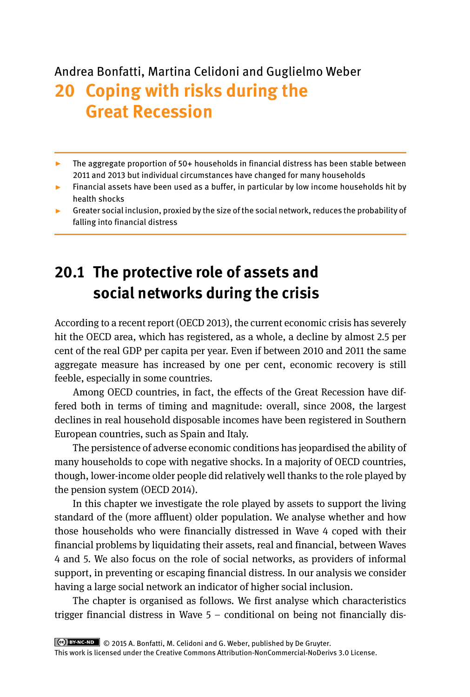# Andrea Bonfatti, Martina Celidoni and Guglielmo Weber **20 Coping with risks during the Great Recession**

- ▸ The aggregate proportion of 50+ households in financial distress has been stable between 2011 and 2013 but individual circumstances have changed for many households
- ▸ Financial assets have been used as a buffer, in particular by low income households hit by health shocks
- ▸ Greater social inclusion, proxied by the size of the social network, reduces the probability of falling into financial distress

# **20.1 The protective role of assets and social networks during the crisis**

According to a recent report (OECD 2013), the current economic crisis has severely hit the OECD area, which has registered, as a whole, a decline by almost 2.5 per cent of the real GDP per capita per year. Even if between 2010 and 2011 the same aggregate measure has increased by one per cent, economic recovery is still feeble, especially in some countries.

Among OECD countries, in fact, the effects of the Great Recession have differed both in terms of timing and magnitude: overall, since 2008, the largest declines in real household disposable incomes have been registered in Southern European countries, such as Spain and Italy.

The persistence of adverse economic conditions has jeopardised the ability of many households to cope with negative shocks. In a majority of OECD countries, though, lower-income older people did relatively well thanks to the role played by the pension system (OECD 2014).

In this chapter we investigate the role played by assets to support the living standard of the (more affluent) older population. We analyse whether and how those households who were financially distressed in Wave 4 coped with their financial problems by liquidating their assets, real and financial, between Waves 4 and 5. We also focus on the role of social networks, as providers of informal support, in preventing or escaping financial distress. In our analysis we consider having a large social network an indicator of higher social inclusion.

The chapter is organised as follows. We first analyse which characteristics trigger financial distress in Wave 5 – conditional on being not financially dis-

 <sup>© 2015</sup> A. Bonfatti, M. Celidoni and G. Weber, published by De Gruyter.

This work is licensed under the Creative Commons Attribution-NonCommercial-NoDerivs 3.0 License.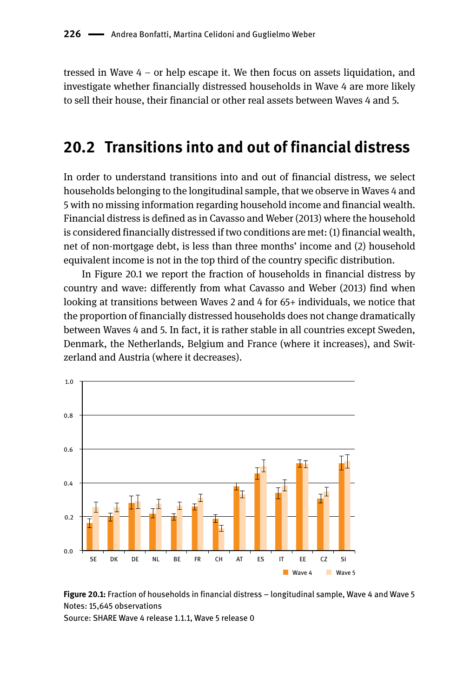tressed in Wave 4 – or help escape it. We then focus on assets liquidation, and investigate whether financially distressed households in Wave 4 are more likely to sell their house, their financial or other real assets between Waves 4 and 5.

### **20.2 Transitions into and out of financial distress**

In order to understand transitions into and out of financial distress, we select households belonging to the longitudinal sample, that we observe in Waves 4 and 5 with no missing information regarding household income and financial wealth. Financial distress is defined as in Cavasso and Weber (2013) where the household is considered financially distressed if two conditions are met: (1) financial wealth, net of non-mortgage debt, is less than three months' income and (2) household equivalent income is not in the top third of the country specific distribution.

In Figure 20.1 we report the fraction of households in financial distress by country and wave: differently from what Cavasso and Weber (2013) find when looking at transitions between Waves 2 and 4 for 65+ individuals, we notice that the proportion of financially distressed households does not change dramatically between Waves 4 and 5. In fact, it is rather stable in all countries except Sweden, Denmark, the Netherlands, Belgium and France (where it increases), and Switzerland and Austria (where it decreases).





Source: SHARE Wave 4 release 1.1.1, Wave 5 release 0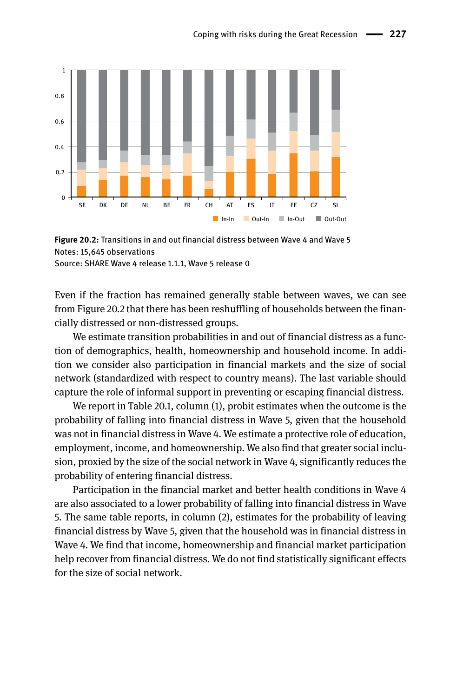

**Figure 20.2:** Transitions in and out financial distress between Wave 4 and Wave 5 Notes: 15,645 observations Source: SHARE Wave 4 release 1.1.1, Wave 5 release 0

Even if the fraction has remained generally stable between waves, we can see from Figure 20.2 that there has been reshuffling of households between the finan-

cially distressed or non-distressed groups. We estimate transition probabilities in and out of financial distress as a function of demographics, health, homeownership and household income. In addition we consider also participation in financial markets and the size of social network (standardized with respect to country means). The last variable should capture the role of informal support in preventing or escaping financial distress.

We report in Table 20.1, column (1), probit estimates when the outcome is the probability of falling into financial distress in Wave 5, given that the household was not in financial distress in Wave 4. We estimate a protective role of education, employment, income, and homeownership. We also find that greater social inclusion, proxied by the size of the social network in Wave 4, significantly reduces the probability of entering financial distress.

Participation in the financial market and better health conditions in Wave 4 are also associated to a lower probability of falling into financial distress in Wave 5. The same table reports, in column (2), estimates for the probability of leaving financial distress by Wave 5, given that the household was in financial distress in Wave 4. We find that income, homeownership and financial market participation help recover from financial distress. We do not find statistically significant effects for the size of social network.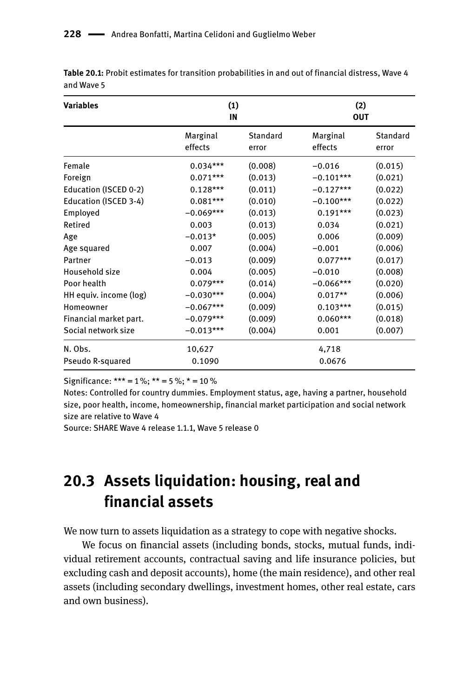| <b>Variables</b>       | (1)<br>IN           |                   |                     | (2)<br><b>OUT</b> |  |  |
|------------------------|---------------------|-------------------|---------------------|-------------------|--|--|
|                        | Marginal<br>effects | Standard<br>error | Marginal<br>effects | Standard<br>error |  |  |
| Female                 | $0.034***$          | (0.008)           | $-0.016$            | (0.015)           |  |  |
| Foreign                | $0.071***$          | (0.013)           | $-0.101***$         | (0.021)           |  |  |
| Education (ISCED 0-2)  | $0.128***$          | (0.011)           | $-0.127***$         | (0.022)           |  |  |
| Education (ISCED 3-4)  | $0.081***$          | (0.010)           | $-0.100***$         | (0.022)           |  |  |
| Employed               | $-0.069***$         | (0.013)           | $0.191***$          | (0.023)           |  |  |
| Retired                | 0.003               | (0.013)           | 0.034               | (0.021)           |  |  |
| Age                    | $-0.013*$           | (0.005)           | 0.006               | (0.009)           |  |  |
| Age squared            | 0.007               | (0.004)           | $-0.001$            | (0.006)           |  |  |
| Partner                | $-0.013$            | (0.009)           | $0.077***$          | (0.017)           |  |  |
| Household size         | 0.004               | (0.005)           | $-0.010$            | (0.008)           |  |  |
| Poor health            | $0.079***$          | (0.014)           | $-0.066***$         | (0.020)           |  |  |
| HH equiv. income (log) | $-0.030***$         | (0.004)           | $0.017**$           | (0.006)           |  |  |
| Homeowner              | $-0.067***$         | (0.009)           | $0.103***$          | (0.015)           |  |  |
| Financial market part. | $-0.079***$         | (0.009)           | $0.060***$          | (0.018)           |  |  |
| Social network size    | $-0.013***$         | (0.004)           | 0.001               | (0.007)           |  |  |
| N. Obs.                | 10,627              |                   | 4,718               |                   |  |  |
| Pseudo R-squared       | 0.1090              | 0.0676            |                     |                   |  |  |

**Table 20.1:** Probit estimates for transition probabilities in and out of financial distress, Wave 4 and Wave 5

Significance: \*\*\* =  $1\%$ ; \*\* =  $5\%$ ; \* =  $10\%$ 

Notes: Controlled for country dummies. Employment status, age, having a partner, household size, poor health, income, homeownership, financial market participation and social network size are relative to Wave 4

Source: SHARE Wave 4 release 1.1.1, Wave 5 release 0

## **20.3 Assets liquidation: housing, real and financial assets**

We now turn to assets liquidation as a strategy to cope with negative shocks.

We focus on financial assets (including bonds, stocks, mutual funds, individual retirement accounts, contractual saving and life insurance policies, but excluding cash and deposit accounts), home (the main residence), and other real assets (including secondary dwellings, investment homes, other real estate, cars and own business).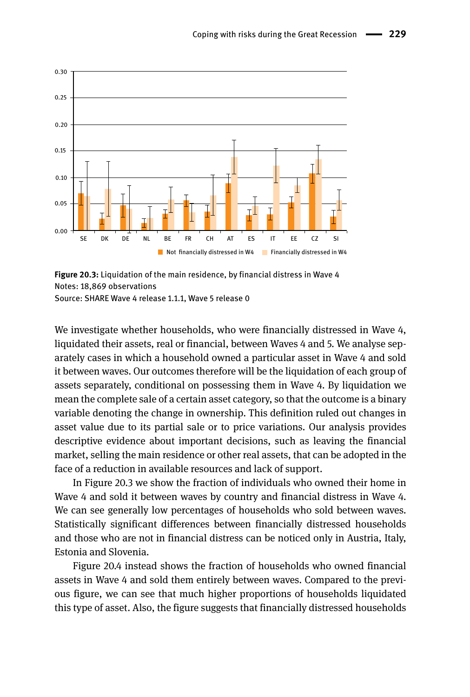

**Figure 20.3:** Liquidation of the main residence, by financial distress in Wave 4 Notes: 18,869 observations Source: SHARE Wave 4 release 1.1.1, Wave 5 release 0

We investigate whether households, who were financially distressed in Wave 4, liquidated their assets, real or financial, between Waves 4 and 5. We analyse separately cases in which a household owned a particular asset in Wave 4 and sold it between waves. Our outcomes therefore will be the liquidation of each group of assets separately, conditional on possessing them in Wave 4. By liquidation we mean the complete sale of a certain asset category, so that the outcome is a binary variable denoting the change in ownership. This definition ruled out changes in asset value due to its partial sale or to price variations. Our analysis provides descriptive evidence about important decisions, such as leaving the financial market, selling the main residence or other real assets, that can be adopted in the face of a reduction in available resources and lack of support.

In Figure 20.3 we show the fraction of individuals who owned their home in Wave 4 and sold it between waves by country and financial distress in Wave 4. We can see generally low percentages of households who sold between waves. Statistically significant differences between financially distressed households and those who are not in financial distress can be noticed only in Austria, Italy, Estonia and Slovenia.

Figure 20.4 instead shows the fraction of households who owned financial assets in Wave 4 and sold them entirely between waves. Compared to the previous figure, we can see that much higher proportions of households liquidated this type of asset. Also, the figure suggests that financially distressed households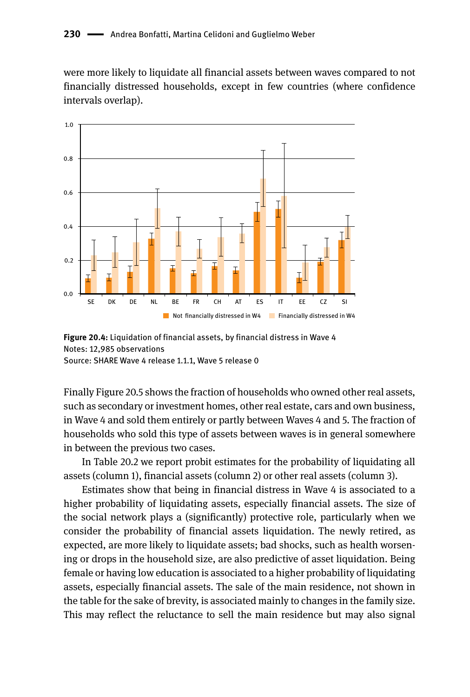#### 230 **-** Andrea Bonfatti, Martina Celidoni and Guglielmo Weber

were more likely to liquidate all financial assets between waves compared to not financially distressed households, except in few countries (where confidence intervals overlap).



**Figure 20.4:** Liquidation of financial assets, by financial distress in Wave 4 Notes: 12,985 observations Source: SHARE Wave 4 release 1.1.1, Wave 5 release 0

Finally Figure 20.5 shows the fraction of households who owned other real assets, such as secondary or investment homes, other real estate, cars and own business, in Wave 4 and sold them entirely or partly between Waves 4 and 5. The fraction of households who sold this type of assets between waves is in general somewhere in between the previous two cases.

In Table 20.2 we report probit estimates for the probability of liquidating all assets (column 1), financial assets (column 2) or other real assets (column 3).

Estimates show that being in financial distress in Wave 4 is associated to a higher probability of liquidating assets, especially financial assets. The size of the social network plays a (significantly) protective role, particularly when we consider the probability of financial assets liquidation. The newly retired, as expected, are more likely to liquidate assets; bad shocks, such as health worsening or drops in the household size, are also predictive of asset liquidation. Being female or having low education is associated to a higher probability of liquidating assets, especially financial assets. The sale of the main residence, not shown in the table for the sake of brevity, is associated mainly to changes in the family size. This may reflect the reluctance to sell the main residence but may also signal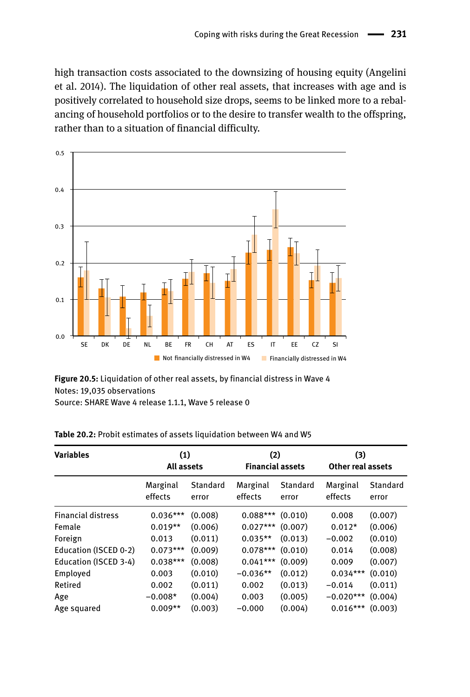high transaction costs associated to the downsizing of housing equity (Angelini et al. 2014). The liquidation of other real assets, that increases with age and is positively correlated to household size drops, seems to be linked more to a rebalancing of household portfolios or to the desire to transfer wealth to the offspring, rather than to a situation of financial difficulty.



**Figure 20.5:** Liquidation of other real assets, by financial distress in Wave 4 Notes: 19,035 observations Source: SHARE Wave 4 release 1.1.1, Wave 5 release 0

| <b>Variables</b>          | (1)<br>All assets   |                   | (2)<br><b>Financial assets</b> |                          | (3)<br>Other real assets |                   |
|---------------------------|---------------------|-------------------|--------------------------------|--------------------------|--------------------------|-------------------|
|                           | Marginal<br>effects | Standard<br>error | Marginal<br>effects            | <b>Standard</b><br>error | Marginal<br>effects      | Standard<br>error |
| <b>Financial distress</b> | $0.036***$          | (0.008)           | $0.088***$                     | (0.010)                  | 0.008                    | (0.007)           |
| Female                    | $0.019**$           | (0.006)           | $0.027***$                     | (0.007)                  | $0.012*$                 | (0.006)           |
| Foreign                   | 0.013               | (0.011)           | $0.035**$                      | (0.013)                  | $-0.002$                 | (0.010)           |
| Education (ISCED 0-2)     | $0.073***$          | (0.009)           | $0.078***$                     | (0.010)                  | 0.014                    | (0.008)           |
| Education (ISCED 3-4)     | $0.038***$          | (0.008)           | $0.041***$                     | (0.009)                  | 0.009                    | (0.007)           |
| Employed                  | 0.003               | (0.010)           | $-0.036**$                     | (0.012)                  | $0.034***$               | (0.010)           |
| Retired                   | 0.002               | (0.011)           | 0.002                          | (0.013)                  | $-0.014$                 | (0.011)           |
| Age                       | $-0.008*$           | (0.004)           | 0.003                          | (0.005)                  | $-0.020***$              | (0.004)           |
| Age squared               | $0.009**$           | (0.003)           | $-0.000$                       | (0.004)                  | $0.016***$               | (0.003)           |

**Table 20.2:** Probit estimates of assets liquidation between W4 and W5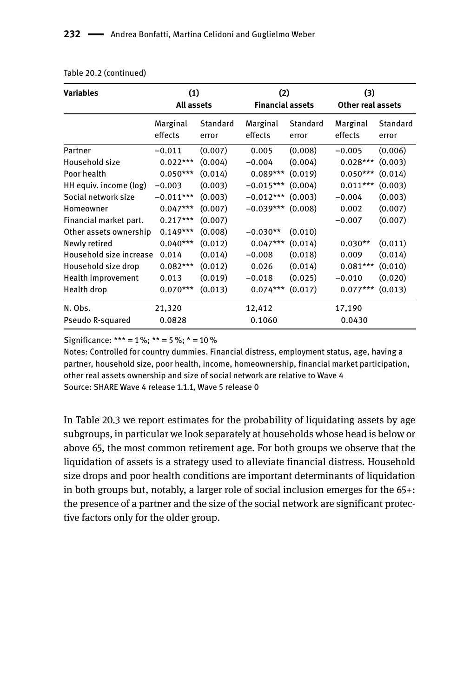| <b>Variables</b>        | (1)<br>All assets   |                   | (2)<br><b>Financial assets</b> |                   | (3)<br><b>Other real assets</b> |                   |
|-------------------------|---------------------|-------------------|--------------------------------|-------------------|---------------------------------|-------------------|
|                         | Marginal<br>effects | Standard<br>error | Marginal<br>effects            | Standard<br>error | Marginal<br>effects             | Standard<br>error |
| Partner                 | $-0.011$            | (0.007)           | 0.005                          | (0.008)           | $-0.005$                        | (0.006)           |
| Household size          | $0.022***$          | (0.004)           | $-0.004$                       | (0.004)           | $0.028***$                      | (0.003)           |
| Poor health             | $0.050***$          | (0.014)           | $0.089***$                     | (0.019)           | $0.050***$                      | (0.014)           |
| HH equiv. income (log)  | $-0.003$            | (0.003)           | $-0.015***$                    | (0.004)           | $0.011***$                      | (0.003)           |
| Social network size     | $-0.011***$         | (0.003)           | $-0.012***$                    | (0.003)           | $-0.004$                        | (0.003)           |
| Homeowner               | $0.047***$          | (0.007)           | $-0.039***$                    | (0.008)           | 0.002                           | (0.007)           |
| Financial market part.  | $0.217***$          | (0.007)           |                                |                   | $-0.007$                        | (0.007)           |
| Other assets ownership  | $0.149***$          | (0.008)           | $-0.030**$                     | (0.010)           |                                 |                   |
| Newly retired           | $0.040***$          | (0.012)           | $0.047***$                     | (0.014)           | $0.030**$                       | (0.011)           |
| Household size increase | 0.014               | (0.014)           | $-0.008$                       | (0.018)           | 0.009                           | (0.014)           |
| Household size drop     | $0.082***$          | (0.012)           | 0.026                          | (0.014)           | $0.081***$                      | (0.010)           |
| Health improvement      | 0.013               | (0.019)           | $-0.018$                       | (0.025)           | $-0.010$                        | (0.020)           |
| Health drop             | $0.070***$          | (0.013)           | $0.074***$                     | (0.017)           | $0.077***$                      | (0.013)           |
| N. Obs.                 | 21,320              |                   | 12,412                         |                   | 17,190                          |                   |
| Pseudo R-squared        | 0.0828              |                   | 0.1060                         |                   | 0.0430                          |                   |

#### Table 20.2 (continued)

Significance: \*\*\* =  $1\%$ ; \*\* =  $5\%$ ; \* =  $10\%$ 

Notes: Controlled for country dummies. Financial distress, employment status, age, having a partner, household size, poor health, income, homeownership, financial market participation, other real assets ownership and size of social network are relative to Wave 4 Source: SHARE Wave 4 release 1.1.1, Wave 5 release 0

In Table 20.3 we report estimates for the probability of liquidating assets by age subgroups, in particular we look separately at households whose head is below or above 65, the most common retirement age. For both groups we observe that the liquidation of assets is a strategy used to alleviate financial distress. Household size drops and poor health conditions are important determinants of liquidation in both groups but, notably, a larger role of social inclusion emerges for the 65+: the presence of a partner and the size of the social network are significant protective factors only for the older group.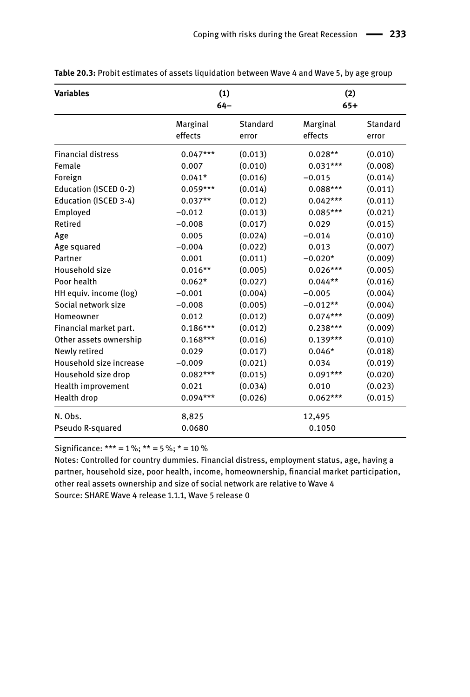| <b>Variables</b>          | (1)<br>$64 -$       |                   | (2)<br>$65+$        |                   |  |
|---------------------------|---------------------|-------------------|---------------------|-------------------|--|
|                           | Marginal<br>effects | Standard<br>error | Marginal<br>effects | Standard<br>error |  |
| <b>Financial distress</b> | $0.047***$          | (0.013)           | $0.028**$           | (0.010)           |  |
| Female                    | 0.007               | (0.010)           | $0.031***$          | (0.008)           |  |
| Foreign                   | $0.041*$            | (0.016)           | $-0.015$            | (0.014)           |  |
| Education (ISCED 0-2)     | $0.059***$          | (0.014)           | $0.088***$          | (0.011)           |  |
| Education (ISCED 3-4)     | $0.037**$           | (0.012)           | $0.042***$          | (0.011)           |  |
| Employed                  | $-0.012$            | (0.013)           | $0.085***$          | (0.021)           |  |
| Retired                   | $-0.008$            | (0.017)           | 0.029               | (0.015)           |  |
| Age                       | 0.005               | (0.024)           | $-0.014$            | (0.010)           |  |
| Age squared               | $-0.004$            | (0.022)           | 0.013               | (0.007)           |  |
| Partner                   | 0.001               | (0.011)           | $-0.020*$           | (0.009)           |  |
| Household size            | $0.016**$           | (0.005)           | $0.026***$          | (0.005)           |  |
| Poor health               | $0.062*$            | (0.027)           | $0.044**$           | (0.016)           |  |
| HH equiv. income (log)    | $-0.001$            | (0.004)           | $-0.005$            | (0.004)           |  |
| Social network size       | $-0.008$            | (0.005)           | $-0.012**$          | (0.004)           |  |
| Homeowner                 | 0.012               | (0.012)           | $0.074***$          | (0.009)           |  |
| Financial market part.    | $0.186***$          | (0.012)           | $0.238***$          | (0.009)           |  |
| Other assets ownership    | $0.168***$          | (0.016)           | $0.139***$          | (0.010)           |  |
| Newly retired             | 0.029               | (0.017)           | $0.046*$            | (0.018)           |  |
| Household size increase   | $-0.009$            | (0.021)           | 0.034               | (0.019)           |  |
| Household size drop       | $0.082***$          | (0.015)           | $0.091***$          | (0.020)           |  |
| Health improvement        | 0.021               | (0.034)           | 0.010               | (0.023)           |  |
| Health drop               | $0.094***$          | (0.026)           | $0.062***$          | (0.015)           |  |
| N. Obs.                   | 8,825               |                   | 12,495              |                   |  |
| Pseudo R-squared          | 0.0680              |                   | 0.1050              |                   |  |

Table 20.3: Probit estimates of assets liquidation between Wave 4 and Wave 5, by age group

Significance: \*\*\* =  $1\%$ ; \*\* =  $5\%$ ; \* =  $10\%$ 

Notes: Controlled for country dummies. Financial distress, employment status, age, having a partner, household size, poor health, income, homeownership, financial market participation, other real assets ownership and size of social network are relative to Wave 4 Source: SHARE Wave 4 release 1.1.1, Wave 5 release 0